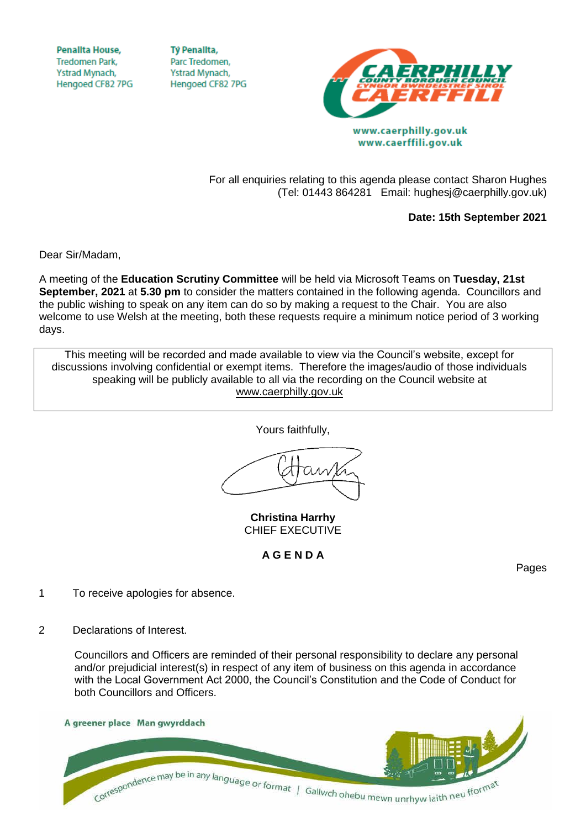**Penallta House,** Tredomen Park. Ystrad Mynach, Hengoed CF82 7PG

**TV Penallta.** Parc Tredomen. Ystrad Mynach, Hengoed CF82 7PG



For all enquiries relating to this agenda please contact Sharon Hughes (Tel: 01443 864281 Email: hughesj@caerphilly.gov.uk)

**Date: 15th September 2021**

Dear Sir/Madam,

A meeting of the **Education Scrutiny Committee** will be held via Microsoft Teams on **Tuesday, 21st September, 2021** at **5.30 pm** to consider the matters contained in the following agenda. Councillors and the public wishing to speak on any item can do so by making a request to the Chair. You are also welcome to use Welsh at the meeting, both these requests require a minimum notice period of 3 working days.

This meeting will be recorded and made available to view via the Council's website, except for discussions involving confidential or exempt items. Therefore the images/audio of those individuals speaking will be publicly available to all via the recording on the Council website at [www.caerphilly.gov.uk](http://www.caerphilly.gov.uk/)

Yours faithfully,

**Christina Harrhy** CHIEF EXECUTIVE

**A G E N D A**

Pages

- 1 To receive apologies for absence.
- 2 Declarations of Interest.

Councillors and Officers are reminded of their personal responsibility to declare any personal and/or prejudicial interest(s) in respect of any item of business on this agenda in accordance with the Local Government Act 2000, the Council's Constitution and the Code of Conduct for both Councillors and Officers.

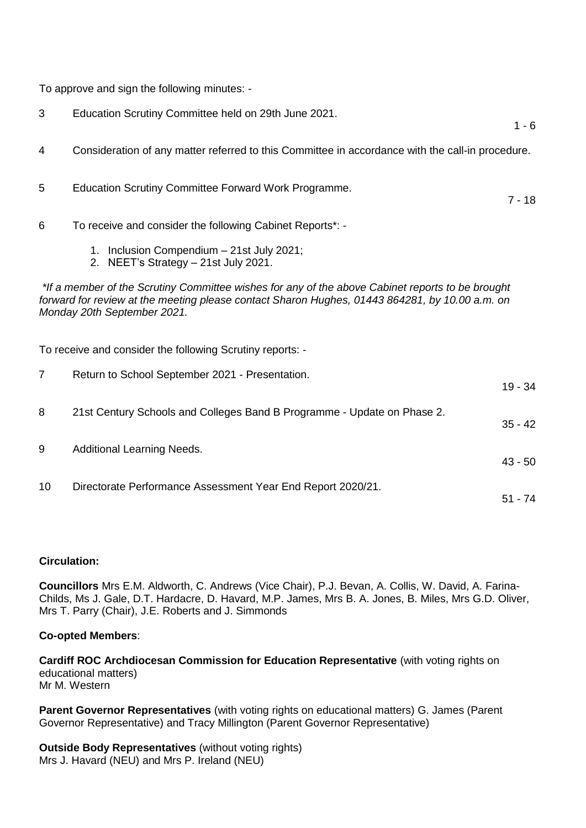To approve and sign the following minutes: -

| 3                                                                                                                                                                                                                                 | Education Scrutiny Committee held on 29th June 2021.                                             | $1 - 6$   |
|-----------------------------------------------------------------------------------------------------------------------------------------------------------------------------------------------------------------------------------|--------------------------------------------------------------------------------------------------|-----------|
| 4                                                                                                                                                                                                                                 | Consideration of any matter referred to this Committee in accordance with the call-in procedure. |           |
| 5                                                                                                                                                                                                                                 | Education Scrutiny Committee Forward Work Programme.                                             | $7 - 18$  |
| 6                                                                                                                                                                                                                                 | To receive and consider the following Cabinet Reports*: -                                        |           |
|                                                                                                                                                                                                                                   | 1. Inclusion Compendium - 21st July 2021;<br>2. NEET's Strategy - 21st July 2021.                |           |
| *If a member of the Scrutiny Committee wishes for any of the above Cabinet reports to be brought<br>forward for review at the meeting please contact Sharon Hughes, 01443 864281, by 10.00 a.m. on<br>Monday 20th September 2021. |                                                                                                  |           |
| To receive and consider the following Scrutiny reports: -                                                                                                                                                                         |                                                                                                  |           |
| 7                                                                                                                                                                                                                                 | Return to School September 2021 - Presentation.                                                  | $19 - 34$ |
| 8                                                                                                                                                                                                                                 | 21st Century Schools and Colleges Band B Programme - Update on Phase 2.                          | $35 - 42$ |
| 9                                                                                                                                                                                                                                 | <b>Additional Learning Needs.</b>                                                                | $43 - 50$ |
| 10                                                                                                                                                                                                                                | Directorate Performance Assessment Year End Report 2020/21.                                      | $51 - 74$ |

## **Circulation:**

**Councillors** Mrs E.M. Aldworth, C. Andrews (Vice Chair), P.J. Bevan, A. Collis, W. David, A. Farina-Childs, Ms J. Gale, D.T. Hardacre, D. Havard, M.P. James, Mrs B. A. Jones, B. Miles, Mrs G.D. Oliver, Mrs T. Parry (Chair), J.E. Roberts and J. Simmonds

## **Co-opted Members**:

**Cardiff ROC Archdiocesan Commission for Education Representative** (with voting rights on educational matters) Mr M. Western

**Parent Governor Representatives** (with voting rights on educational matters) G. James (Parent Governor Representative) and Tracy Millington (Parent Governor Representative)

**Outside Body Representatives** (without voting rights) Mrs J. Havard (NEU) and Mrs P. Ireland (NEU)